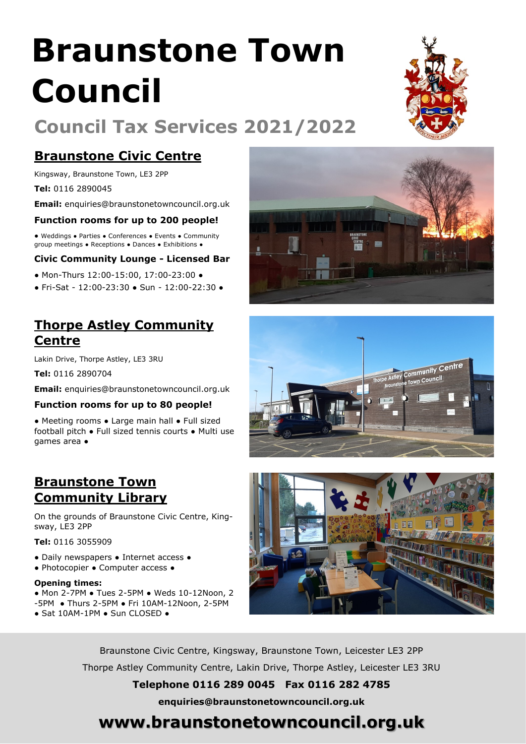# **Braunstone Town Council**

# **Council Tax Services 2021/2022**

## **Braunstone Civic Centre**

Kingsway, Braunstone Town, LE3 2PP

**Tel:** 0116 2890045

**Email:** enquiries@braunstonetowncouncil.org.uk

#### **Function rooms for up to 200 people!**

● Weddings ● Parties ● Conferences ● Events ● Community group meetings ● Receptions ● Dances ● Exhibitions ●

#### **Civic Community Lounge - Licensed Bar**

- Mon-Thurs 12:00-15:00, 17:00-23:00 ●
- Fri-Sat 12:00-23:30 Sun 12:00-22:30 ●

## **Thorpe Astley Community Centre**

Lakin Drive, Thorpe Astley, LE3 3RU

**Tel:** 0116 2890704

**Email:** enquiries@braunstonetowncouncil.org.uk

#### **Function rooms for up to 80 people!**

● Meeting rooms ● Large main hall ● Full sized football pitch ● Full sized tennis courts ● Multi use games area ●

## **Braunstone Town Community Library**

On the grounds of Braunstone Civic Centre, Kingsway, LE3 2PP

**Tel:** 0116 3055909

- Daily newspapers Internet access ●
- Photocopier Computer access ●

#### **Opening times:**

- Mon 2-7PM Tues 2-5PM Weds 10-12Noon, 2 -5PM ● Thurs 2-5PM ● Fri 10AM-12Noon, 2-5PM
- Sat 10AM-1PM Sun CLOSED ●







Braunstone Civic Centre, Kingsway, Braunstone Town, Leicester LE3 2PP Thorpe Astley Community Centre, Lakin Drive, Thorpe Astley, Leicester LE3 3RU

**Telephone 0116 289 0045 Fax 0116 282 4785**

**enquiries@braunstonetowncouncil.org.uk**

## **www.braunstonetowncouncil.org.uk**